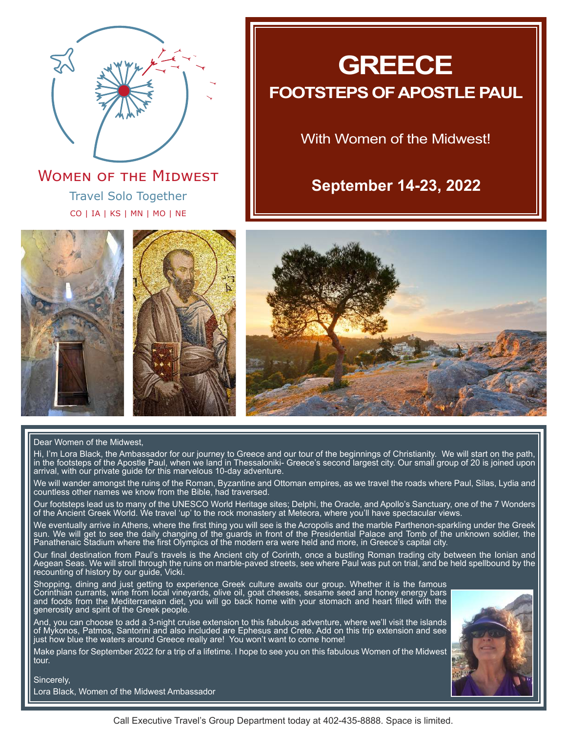

Travel Solo Together CO | IA | KS | MN | MO | NE **WOMEN OF THE MIDWEST** 









#### Dear Women of the Midwest,

Hi, I'm Lora Black, the Ambassador for our journey to Greece and our tour of the beginnings of Christianity. We will start on the path, in the footsteps of the Apostle Paul, when we land in Thessaloniki- Greece's second largest city. Our small group of 20 is joined upon arrival, with our private guide for this marvelous 10-day adventure.

We will wander amongst the ruins of the Roman, Byzantine and Ottoman empires, as we travel the roads where Paul, Silas, Lydia and countless other names we know from the Bible, had traversed.

Our footsteps lead us to many of the UNESCO World Heritage sites; Delphi, the Oracle, and Apollo's Sanctuary, one of the 7 Wonders of the Ancient Greek World. We travel 'up' to the rock monastery at Meteora, where you'll have spectacular views.

We eventually arrive in Athens, where the first thing you will see is the Acropolis and the marble Parthenon-sparkling under the Greek sun. We will get to see the daily changing of the guards in front of the Presidential Palace and Tomb of the unknown soldier, the Panathenaic Stadium where the first Olympics of the modern era were held and more, in Greece's capital city.

Our final destination from Paul's travels is the Ancient city of Corinth, once a bustling Roman trading city between the Ionian and Aegean Seas. We will stroll through the ruins on marble-paved streets, see where Paul was put on trial, and be held spellbound by the recounting of history by our guide, Vicki.

Shopping, dining and just getting to experience Greek culture awaits our group. Whether it is the famous Corinthian currants, wine from local vineyards, olive oil, goat cheeses, sesame seed and honey energy bars and foods from the Mediterranean diet, you will go back home with your stomach and heart filled with the generosity and spirit of the Greek people.

And, you can choose to add a 3-night cruise extension to this fabulous adventure, where we'll visit the islands of Mykonos, Patmos, Santorini and also included are Ephesus and Crete. Add on this trip extension and see just how blue the waters around Greece really are! You won't want to come home!

Make plans for September 2022 for a trip of a lifetime. I hope to see you on this fabulous Women of the Midwest tour.



Sincerely,

Lora Black, Women of the Midwest Ambassador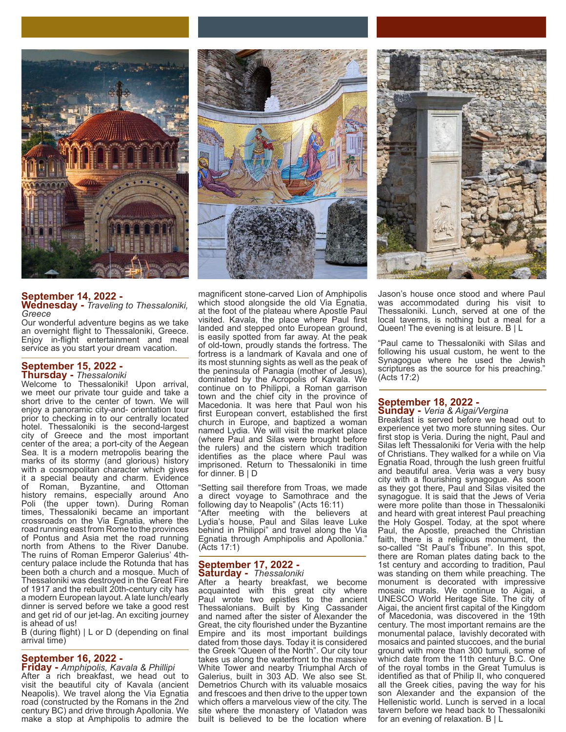

**September 14, 2022 - Wednesday -** *Traveling to Thessaloniki, Greece*

Our wonderful adventure begins as we take an overnight flight to Thessaloniki, Greece. Enjoy in-flight entertainment and meal service as you start your dream vacation.

#### **September 15, 2022 - Thursday -** *Thessaloniki*

Welcome to Thessaloniki! Upon arrival, we meet our private tour guide and take a short drive to the center of town. We will enjoy a panoramic city-and- orientation tour prior to checking in to our centrally located hotel. Thessaloniki is the second-largest city of Greece and the most important center of the area; a port-city of the Aegean Sea. It is a modern metropolis bearing the marks of its stormy (and glorious) history with a cosmopolitan character which gives it a special beauty and charm. Evidence<br>of Roman, Byzantine, and Ottoman of Roman, Byzantine, history remains, especially around Ano Poli (the upper town). During Roman times, Thessaloniki became an important crossroads on the Via Egnatia, where the road running east from Rome to the provinces of Pontus and Asia met the road running north from Athens to the River Danube. The ruins of Roman Emperor Galerius' 4thcentury palace include the Rotunda that has been both a church and a mosque. Much of Thessaloniki was destroyed in the Great Fire of 1917 and the rebuilt 20th-century city has a modern European layout. A late lunch/early dinner is served before we take a good rest and get rid of our jet-lag. An exciting journey is ahead of us!

B (during flight) | L or D (depending on final arrival time)

#### **September 16, 2022 -**

**Friday -** *Amphipolis, Kavala & Phillipi* After a rich breakfast, we head out to visit the beautiful city of Kavala (ancient Neapolis). We travel along the Via Egnatia road (constructed by the Romans in the 2nd century BC) and drive through Apollonia. We make a stop at Amphipolis to admire the



magnificent stone-carved Lion of Amphipolis which stood alongside the old Via Egnatia, at the foot of the plateau where Apostle Paul visited. Kavala, the place where Paul first landed and stepped onto European ground, is easily spotted from far away. At the peak of old-town, proudly stands the fortress. The fortress is a landmark of Kavala and one of its most stunning sights as well as the peak of the peninsula of Panagia (mother of Jesus), dominated by the Acropolis of Kavala. We continue on to Philippi, a Roman garrison town and the chief city in the province of Macedonia. It was here that Paul won his first European convert, established the first church in Europe, and baptized a woman named Lydia. We will visit the market place (where Paul and Silas were brought before the rulers) and the cistern which tradition identifies as the place where Paul was imprisoned. Return to Thessaloniki in time for dinner. B | D

"Setting sail therefore from Troas, we made a direct voyage to Samothrace and the following day to Neapolis" (Acts 16:11) "After meeting with the believers at Lydia's house, Paul and Silas leave Luke behind in Philippi" and travel along the Via Egnatia through Amphipolis and Apollonia." (Acts 17:1)

#### **September 17, 2022 - Saturday -** *Thessaloniki*

After a hearty breakfast, we become acquainted with this great city where Paul wrote two epistles to the ancient Thessalonians. Built by King Cassander and named after the sister of Alexander the Great, the city flourished under the Byzantine Empire and its most important buildings dated from those days. Today it is considered the Greek "Queen of the North". Our city tour takes us along the waterfront to the massive White Tower and nearby Triumphal Arch of Galerius, built in 303 AD. We also see St. Demetrios Church with its valuable mosaics and frescoes and then drive to the upper town which offers a marvelous view of the city. The site where the monastery of Vlatadon was built is believed to be the location where



Jason's house once stood and where Paul was accommodated during his visit to Thessaloniki. Lunch, served at one of the local taverns, is nothing but a meal for a Queen! The evening is at leisure. B | L

"Paul came to Thessaloniki with Silas and following his usual custom, he went to the Synagogue where he used the Jewish scriptures as the source for his preaching." (Acts 17:2)

#### **September 18, 2022 - Sunday -** *Veria & Aigai/Vergina*

Breakfast is served before we head out to experience yet two more stunning sites. Our first stop is Veria. During the night, Paul and Silas left Thessaloniki for Veria with the help of Christians. They walked for a while on Via Egnatia Road, through the lush green fruitful and beautiful area. Veria was a very busy city with a flourishing synagogue. As soon as they got there, Paul and Silas visited the synagogue. It is said that the Jews of Veria were more polite than those in Thessaloniki and heard with great interest Paul preaching the Holy Gospel. Today, at the spot where Paul, the Apostle, preached the Christian faith, there is a religious monument, the so-called "St Paul's Tribune". In this spot, there are Roman plates dating back to the 1st century and according to tradition, Paul was standing on them while preaching. The monument is decorated with impressive mosaic murals. We continue to Aigai, a UNESCO World Heritage Site. The city of Aigai, the ancient first capital of the Kingdom of Macedonia, was discovered in the 19th century. The most important remains are the monumental palace, lavishly decorated with mosaics and painted stuccoes, and the burial ground with more than 300 tumuli, some of which date from the 11th century B.C. One of the royal tombs in the Great Tumulus is identified as that of Philip II, who conquered all the Greek cities, paving the way for his son Alexander and the expansion of the Hellenistic world. Lunch is served in a local tavern before we head back to Thessaloniki for an evening of relaxation. B | L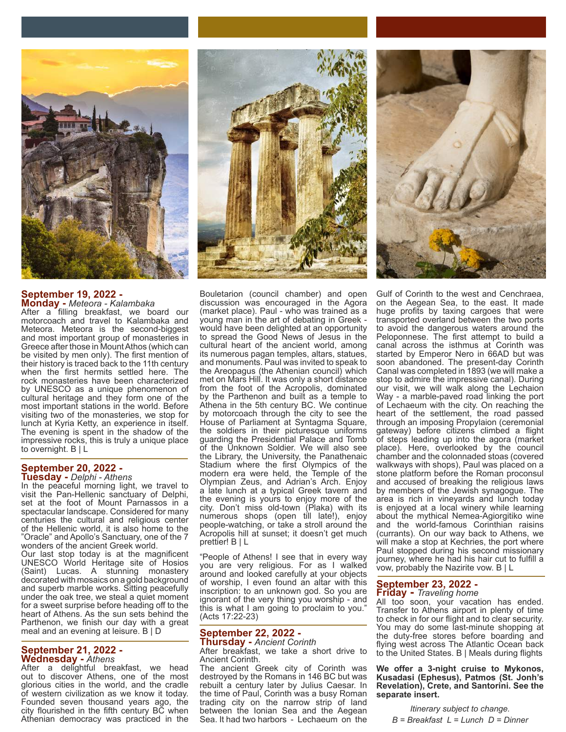

#### **September 19, 2022 - Monday -** *Meteora - Kalambaka*

After a filling breakfast, we board our motorcoach and travel to Kalambaka and Meteora. Meteora is the second-biggest and most important group of monasteries in Greece after those in Mount Athos (which can be visited by men only). The first mention of their history is traced back to the 11th century when the first hermits settled here. The rock monasteries have been characterized by UNESCO as a unique phenomenon of cultural heritage and they form one of the most important stations in the world. Before visiting two of the monasteries, we stop for lunch at Kyria Ketty, an experience in itself. The evening is spent in the shadow of the impressive rocks, this is truly a unique place to overnight. B | L

#### **September 20, 2022 - Tuesday -** *Delphi - Athens*

In the peaceful morning light, we travel to visit the Pan-Hellenic sanctuary of Delphi, set at the foot of Mount Parnassos in a spectacular landscape. Considered for many centuries the cultural and religious center of the Hellenic world, it is also home to the "Oracle" and Apollo's Sanctuary, one of the 7 wonders of the ancient Greek world.

Our last stop today is at the magnificent UNESCO World Heritage site of Hosios (Saint) Lucas. A stunning decorated with mosaics on a gold background and superb marble works. Sitting peacefully under the oak tree, we steal a quiet moment for a sweet surprise before heading off to the heart of Athens. As the sun sets behind the Parthenon, we finish our day with a great meal and an evening at leisure. B | D

#### **September 21, 2022 - Wednesday -** *Athens*

After a delightful breakfast, we head out to discover Athens, one of the most glorious cities in the world, and the cradle of western civilization as we know it today. Founded seven thousand years ago, the city flourished in the fifth century BC when Athenian democracy was practiced in the



Bouletarion (council chamber) and open discussion was encouraged in the Agora (market place). Paul - who was trained as a young man in the art of debating in Greek would have been delighted at an opportunity to spread the Good News of Jesus in the cultural heart of the ancient world, among its numerous pagan temples, altars, statues, and monuments. Paul was invited to speak to the Areopagus (the Athenian council) which met on Mars Hill. It was only a short distance from the foot of the Acropolis, dominated by the Parthenon and built as a temple to Athena in the 5th century BC. We continue by motorcoach through the city to see the House of Parliament at Syntagma Square, the soldiers in their picturesque uniforms guarding the Presidential Palace and Tomb of the Unknown Soldier. We will also see the Library, the University, the Panathenaic Stadium where the first Olympics of the modern era were held, the Temple of the Olympian Zeus, and Adrian's Arch. Enjoy a late lunch at a typical Greek tavern and the evening is yours to enjoy more of the city. Don't miss old-town (Plaka) with its numerous shops (open till late!), enjoy people-watching, or take a stroll around the Acropolis hill at sunset; it doesn't get much prettier! B | L

"People of Athens! I see that in every way you are very religious. For as I walked around and looked carefully at your objects of worship, I even found an altar with this inscription: to an unknown god. So you are ignorant of the very thing you worship - and this is what I am going to proclaim to you." (Acts 17:22-23)

#### **September 22, 2022 - Thursday -** *Ancient Corinth*

After breakfast, we take a short drive to Ancient Corinth.

The ancient Greek city of Corinth was destroyed by the Romans in 146 BC but was rebuilt a century later by Julius Caesar. In the time of Paul, Corinth was a busy Roman trading city on the narrow strip of land between the Ionian Sea and the Aegean Sea. It had two harbors - Lechaeum on the



Gulf of Corinth to the west and Cenchraea, on the Aegean Sea, to the east. It made huge profits by taxing cargoes that were transported overland between the two ports to avoid the dangerous waters around the Peloponnese. The first attempt to build a canal across the isthmus at Corinth was started by Emperor Nero in 66AD but was soon abandoned. The present-day Corinth Canal was completed in 1893 (we will make a stop to admire the impressive canal). During our visit, we will walk along the Lechaion Way - a marble-paved road linking the port of Lechaeum with the city. On reaching the heart of the settlement, the road passed through an imposing Propylaion (ceremonial gateway) before citizens climbed a flight of steps leading up into the agora (market place). Here, overlooked by the council chamber and the colonnaded stoas (covered walkways with shops), Paul was placed on a stone platform before the Roman proconsul and accused of breaking the religious laws by members of the Jewish synagogue. The area is rich in vineyards and lunch today is enjoyed at a local winery while learning about the mythical Nemea-Agiorgitiko wine and the world-famous Corinthian raisins (currants). On our way back to Athens, we will make a stop at Kechries, the port where Paul stopped during his second missionary journey, where he had his hair cut to fulfill a vow, probably the Nazirite vow. B | L

#### **September 23, 2022 - Friday -** *Traveling home*

All too soon, your vacation has ended. Transfer to Athens airport in plenty of time to check in for our flight and to clear security. You may do some last-minute shopping at the duty-free stores before boarding and flying west across The Atlantic Ocean back to the United States. B | Meals during flights

**We offer a 3-night cruise to Mykonos, Kusadasi (Ephesus), Patmos (St. Jonh's Revelation), Crete, and Santorini. See the separate insert.**

*Itinerary subject to change. B = Breakfast L = Lunch D = Dinner*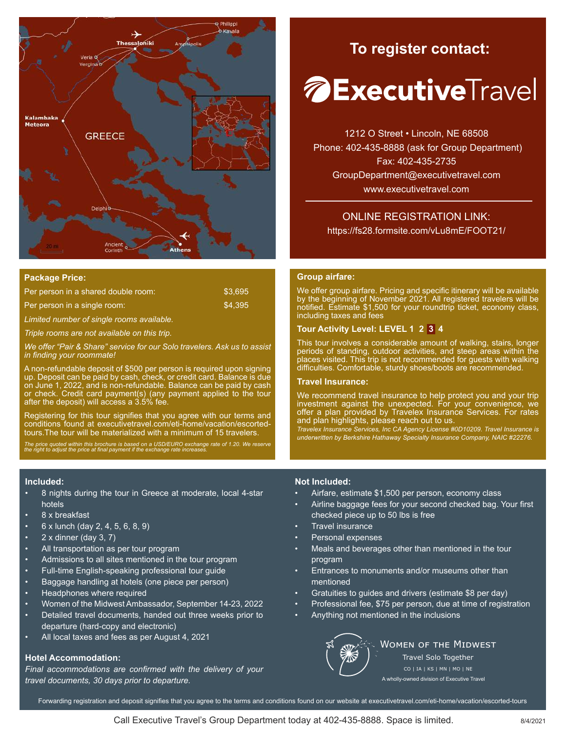

#### **Package Price:**

| Per person in a shared double room:       | \$3.695 |
|-------------------------------------------|---------|
| Per person in a single room:              | \$4.395 |
| Limited number of single rooms available. |         |

*Triple rooms are not available on this trip.*

*We offer "Pair & Share" service for our Solo travelers. Ask us to assist in finding your roommate!* 

A non-refundable deposit of \$500 per person is required upon signing up. Deposit can be paid by cash, check, or credit card. Balance is due on June 1, 2022, and is non-refundable. Balance can be paid by cash or check. Credit card payment(s) (any payment applied to the tour after the deposit) will access a 3.5% fee.

Registering for this tour signifies that you agree with our terms and conditions found at executivetravel.com/eti-home/vacation/escortedtours.The tour will be materialized with a minimum of 15 travelers.

*The price quoted within this brochure is based on a USD/EURO exchange rate of 1.20. We reserve the right to adjust the price at final payment if the exchange rate increases.*

#### **Included:**

- 8 nights during the tour in Greece at moderate, local 4-star hotels
- 8 x breakfast
- 6 x lunch (day 2, 4, 5, 6, 8, 9)
- $2 \times$  dinner (day  $3, 7$ )
- All transportation as per tour program
- Admissions to all sites mentioned in the tour program
- Full-time English-speaking professional tour guide
- Baggage handling at hotels (one piece per person)
- Headphones where required
- Women of the Midwest Ambassador, September 14-23, 2022
- Detailed travel documents, handed out three weeks prior to departure (hard-copy and electronic)
- All local taxes and fees as per August 4, 2021

#### **Hotel Accommodation:**

*Final accommodations are confirmed with the delivery of your travel documents, 30 days prior to departure.*

## **To register contact:**

# *A* **Executive**Travel

1212 O Street • Lincoln, NE 68508 Phone: 402-435-8888 (ask for Group Department) Fax: 402-435-2735 GroupDepartment@executivetravel.com www.executivetravel.com

ONLINE REGISTRATION LINK: https://fs28.formsite.com/vLu8mE/FOOT21/

#### **Group airfare:**

We offer group airfare. Pricing and specific itinerary will be available by the beginning of November 2021. All registered travelers will be notified. Estimate \$1,500 for your roundtrip ticket, economy class, including taxes and fees

#### **Tour Activity Level: LEVEL 1 2 3 4**

This tour involves a considerable amount of walking, stairs, longer periods of standing, outdoor activities, and steep areas within the places visited. This trip is not recommended for guests with walking difficulties. Comfortable, sturdy shoes/boots are recommended.

#### **Travel Insurance:**

We recommend travel insurance to help protect you and your trip investment against the unexpected. For your convenience, we offer a plan provided by Travelex Insurance Services. For rates and plan highlights, please reach out to us.

*Travelex Insurance Services, Inc CA Agency License #0D10209. Travel Insurance is underwritten by Berkshire Hathaway Specialty Insurance Company, NAIC #22276.*

#### **Not Included:**

- Airfare, estimate \$1,500 per person, economy class
- Airline baggage fees for your second checked bag. Your first checked piece up to 50 lbs is free
- Travel insurance
- Personal expenses
- Meals and beverages other than mentioned in the tour program
- Entrances to monuments and/or museums other than mentioned
- Gratuities to guides and drivers (estimate \$8 per day)
- Professional fee, \$75 per person, due at time of registration
- Anything not mentioned in the inclusions



**WOMEN OF THE MIDWEST** Travel Solo Together CO | IA | KS | MN | MO | NE A wholly-owned division of Executive Travel

Forwarding registration and deposit signifies that you agree to the terms and conditions found on our website at executivetravel.com/eti-home/vacation/escorted-tours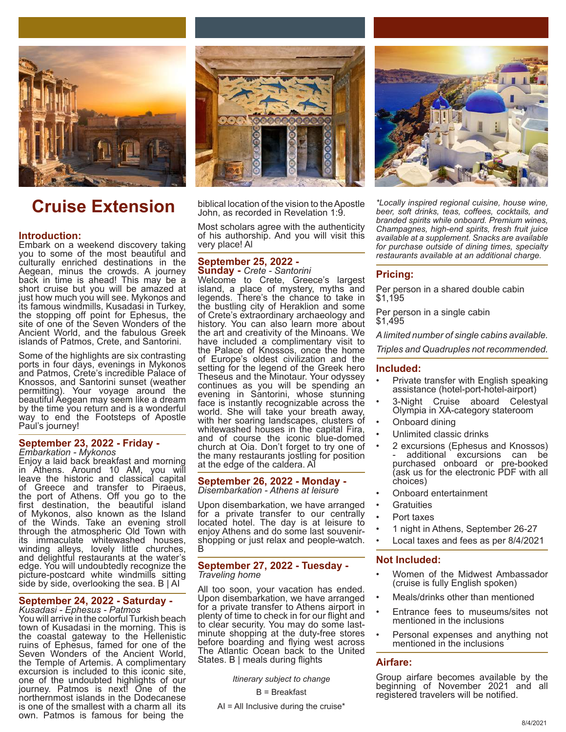

#### **Introduction:**

Embark on a weekend discovery taking you to some of the most beautiful and culturally enriched destinations in the Aegean, minus the crowds. A journey back in time is ahead! This may be a short cruise but you will be amazed at just how much you will see. Mykonos and its famous windmills, Kusadasi in Turkey, the stopping off point for Ephesus, the site of one of the Seven Wonders of the Ancient World, and the fabulous Greek islands of Patmos, Crete, and Santorini.

Some of the highlights are six contrasting ports in four days, evenings in Mykonos and Patmos, Crete's incredible Palace of Knossos, and Santorini sunset (weather permitting). Your voyage around the beautiful Aegean may seem like a dream by the time you return and is a wonderful way to end the Footsteps of Apostle Paul's journey!

#### **September 23, 2022 - Friday -**  *Embarkation - Mykonos*

Enjoy a laid back breakfast and morning in Athens. Around 10 AM, you will leave the historic and classical capital of Greece and transfer to Piraeus, the port of Athens. Off you go to the first destination, the beautiful island of Mykonos, also known as the Island of the Winds. Take an evening stroll through the atmospheric Old Town with its immaculate whitewashed houses, winding alleys, lovely little churches, and delightful restaurants at the water's edge. You will undoubtedly recognize the picture-postcard white windmills sitting side by side, overlooking the sea.  $B | AI$ 

#### **September 24, 2022 - Saturday -**

*Kusadasi - Ephesus - Patmos* You will arrive in the colorful Turkish beach town of Kusadasi in the morning. This is the coastal gateway to the Hellenistic ruins of Ephesus, famed for one of the Seven Wonders of the Ancient World, the Temple of Artemis. A complimentary excursion is included to this iconic site, one of the undoubted highlights of our journey. Patmos is next! One of the northernmost islands in the Dodecanese is one of the smallest with a charm all its own. Patmos is famous for being the



**Cruise Extension** biblical location of the vision to the Apostle John, as recorded in Revelation 1:9.

> Most scholars agree with the authenticity of his authorship. And you will visit this very place! Al

#### **September 25, 2022 - Sunday -** *Crete - Santorini*

Welcome to Crete, Greece's largest island, a place of mystery, myths and legends. There's the chance to take in the bustling city of Heraklion and some of Crete's extraordinary archaeology and history. You can also learn more about the art and creativity of the Minoans. We have included a complimentary visit to the Palace of Knossos, once the home of Europe's oldest civilization and the setting for the legend of the Greek hero Theseus and the Minotaur. Your odyssey continues as you will be spending an evening in Santorini, whose stunning face is instantly recognizable across the world. She will take your breath away, with her soaring landscapes, clusters of whitewashed houses in the capital Fira, and of course the iconic blue-domed church at Oia. Don't forget to try one of the many restaurants jostling for position at the edge of the caldera. AI

#### **September 26, 2022 - Monday -**  *Disembarkation - Athens at leisure*

Upon disembarkation, we have arranged for a private transfer to our centrally located hotel. The day is at leisure to enjoy Athens and do some last souvenirshopping or just relax and people-watch. B

#### **September 27, 2022 - Tuesday -**  *Traveling home*

All too soon, your vacation has ended. Upon disembarkation, we have arranged for a private transfer to Athens airport in plenty of time to check in for our flight and to clear security. You may do some lastminute shopping at the duty-free stores before boarding and flying west across The Atlantic Ocean back to the United States. B | meals during flights

*Itinerary subject to change*

B = Breakfast

 $AI = All$  Inclusive during the cruise\*



*\*Locally inspired regional cuisine, house wine, beer, soft drinks, teas, coffees, cocktails, and branded spirits while onboard. Premium wines, Champagnes, high-end spirits, fresh fruit juice available at a supplement. Snacks are available for purchase outside of dining times, specialty restaurants available at an additional charge.*

#### **Pricing:**

Per person in a shared double cabin \$1,195

Per person in a single cabin \$1,495

*A limited number of single cabins available.*

*Triples and Quadruples not recommended.*

#### **Included:**

- Private transfer with English speaking assistance (hotel-port-hotel-airport)
- 3-Night Cruise aboard Celestyal Olympia in XA-category stateroom
- Onboard dining
- Unlimited classic drinks
- 2 excursions (Ephesus and Knossos) additional excursions can be purchased onboard or pre-booked (ask us for the electronic PDF with all choices)
- Onboard entertainment
- **Gratuities**
- Port taxes
- 1 night in Athens, September 26-27
- Local taxes and fees as per 8/4/2021

#### **Not Included:**

- Women of the Midwest Ambassador (cruise is fully English spoken)
- Meals/drinks other than mentioned
- Entrance fees to museums/sites not mentioned in the inclusions
- Personal expenses and anything not mentioned in the inclusions

#### **Airfare:**

Group airfare becomes available by the beginning of November 2021 and all registered travelers will be notified.